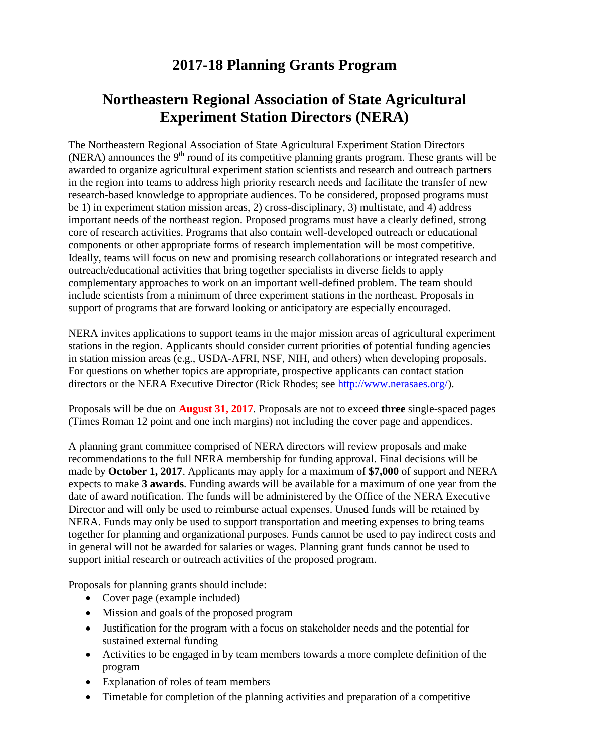## **2017-18 Planning Grants Program**

### **Northeastern Regional Association of State Agricultural Experiment Station Directors (NERA)**

The Northeastern Regional Association of State Agricultural Experiment Station Directors (NERA) announces the  $9<sup>th</sup>$  round of its competitive planning grants program. These grants will be awarded to organize agricultural experiment station scientists and research and outreach partners in the region into teams to address high priority research needs and facilitate the transfer of new research-based knowledge to appropriate audiences. To be considered, proposed programs must be 1) in experiment station mission areas, 2) cross-disciplinary, 3) multistate, and 4) address important needs of the northeast region. Proposed programs must have a clearly defined, strong core of research activities. Programs that also contain well-developed outreach or educational components or other appropriate forms of research implementation will be most competitive. Ideally, teams will focus on new and promising research collaborations or integrated research and outreach/educational activities that bring together specialists in diverse fields to apply complementary approaches to work on an important well-defined problem. The team should include scientists from a minimum of three experiment stations in the northeast. Proposals in support of programs that are forward looking or anticipatory are especially encouraged.

NERA invites applications to support teams in the major mission areas of agricultural experiment stations in the region. Applicants should consider current priorities of potential funding agencies in station mission areas (e.g., USDA-AFRI, NSF, NIH, and others) when developing proposals. For questions on whether topics are appropriate, prospective applicants can contact station directors or the NERA Executive Director (Rick Rhodes; see [http://www.nerasaes.org/\)](http://www.nerasaes.org/).

Proposals will be due on **August 31, 2017**. Proposals are not to exceed **three** single-spaced pages (Times Roman 12 point and one inch margins) not including the cover page and appendices.

A planning grant committee comprised of NERA directors will review proposals and make recommendations to the full NERA membership for funding approval. Final decisions will be made by **October 1, 2017**. Applicants may apply for a maximum of **\$7,000** of support and NERA expects to make **3 awards**. Funding awards will be available for a maximum of one year from the date of award notification. The funds will be administered by the Office of the NERA Executive Director and will only be used to reimburse actual expenses. Unused funds will be retained by NERA. Funds may only be used to support transportation and meeting expenses to bring teams together for planning and organizational purposes. Funds cannot be used to pay indirect costs and in general will not be awarded for salaries or wages. Planning grant funds cannot be used to support initial research or outreach activities of the proposed program.

Proposals for planning grants should include:

- Cover page (example included)
- Mission and goals of the proposed program
- Justification for the program with a focus on stakeholder needs and the potential for sustained external funding
- Activities to be engaged in by team members towards a more complete definition of the program
- Explanation of roles of team members
- Timetable for completion of the planning activities and preparation of a competitive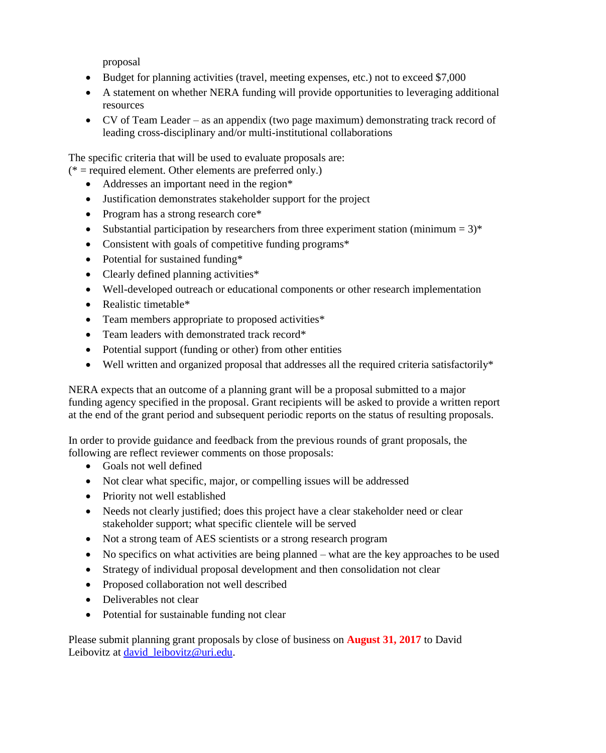proposal

- Budget for planning activities (travel, meeting expenses, etc.) not to exceed \$7,000
- A statement on whether NERA funding will provide opportunities to leveraging additional resources
- CV of Team Leader as an appendix (two page maximum) demonstrating track record of leading cross-disciplinary and/or multi-institutional collaborations

The specific criteria that will be used to evaluate proposals are:

- $(* = required element. Other elements are preferred only.)$ 
	- Addresses an important need in the region\*
	- Justification demonstrates stakeholder support for the project
	- Program has a strong research core\*
	- Substantial participation by researchers from three experiment station (minimum  $= 3$ )\*
	- Consistent with goals of competitive funding programs\*
	- Potential for sustained funding\*
	- Clearly defined planning activities\*
	- Well-developed outreach or educational components or other research implementation
	- Realistic timetable\*
	- Team members appropriate to proposed activities\*
	- Team leaders with demonstrated track record\*
	- Potential support (funding or other) from other entities
	- Well written and organized proposal that addresses all the required criteria satisfactorily\*

NERA expects that an outcome of a planning grant will be a proposal submitted to a major funding agency specified in the proposal. Grant recipients will be asked to provide a written report at the end of the grant period and subsequent periodic reports on the status of resulting proposals.

In order to provide guidance and feedback from the previous rounds of grant proposals, the following are reflect reviewer comments on those proposals:

- Goals not well defined
- Not clear what specific, major, or compelling issues will be addressed
- Priority not well established
- Needs not clearly justified; does this project have a clear stakeholder need or clear stakeholder support; what specific clientele will be served
- Not a strong team of AES scientists or a strong research program
- No specifics on what activities are being planned what are the key approaches to be used
- Strategy of individual proposal development and then consolidation not clear
- Proposed collaboration not well described
- Deliverables not clear
- Potential for sustainable funding not clear

Please submit planning grant proposals by close of business on **August 31, 2017** to David Leibovitz at [david\\_leibovitz@uri.edu.](mailto:dleibovitz@uri.edu)